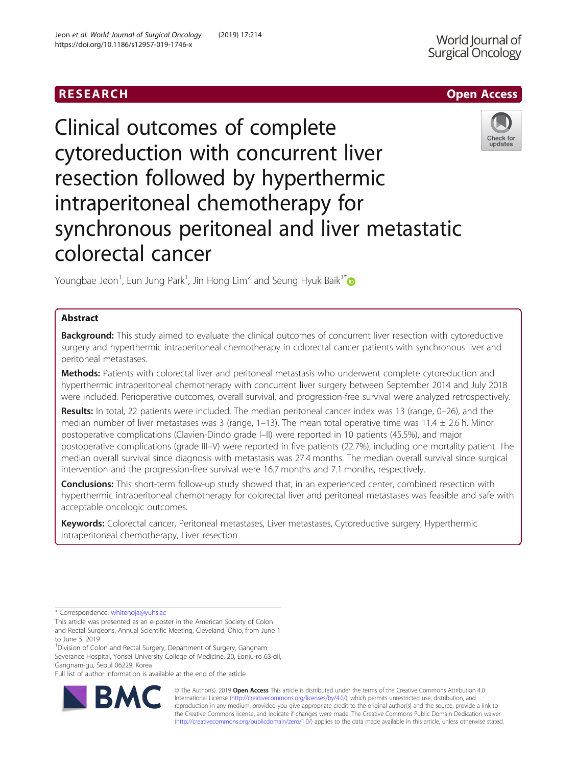# RESEARCH **RESEARCH CHANNEL CONTROL**



Clinical outcomes of complete cytoreduction with concurrent liver resection followed by hyperthermic intraperitoneal chemotherapy for synchronous peritoneal and liver metastatic colorectal cancer

Youngbae Jeon $^1$ , Eun Jung Park $^1$ , Jin Hong Lim $^2$  and Seung Hyuk Baik $1^\ast$ 

# Abstract

Background: This study aimed to evaluate the clinical outcomes of concurrent liver resection with cytoreductive surgery and hyperthermic intraperitoneal chemotherapy in colorectal cancer patients with synchronous liver and peritoneal metastases.

Methods: Patients with colorectal liver and peritoneal metastasis who underwent complete cytoreduction and hyperthermic intraperitoneal chemotherapy with concurrent liver surgery between September 2014 and July 2018 were included. Perioperative outcomes, overall survival, and progression-free survival were analyzed retrospectively.

Results: In total, 22 patients were included. The median peritoneal cancer index was 13 (range, 0-26), and the median number of liver metastases was 3 (range, 1–13). The mean total operative time was 11.4  $\pm$  2.6 h. Minor postoperative complications (Clavien-Dindo grade I–II) were reported in 10 patients (45.5%), and major postoperative complications (grade III–V) were reported in five patients (22.7%), including one mortality patient. The median overall survival since diagnosis with metastasis was 27.4 months. The median overall survival since surgical intervention and the progression-free survival were 16.7 months and 7.1 months, respectively.

**Conclusions:** This short-term follow-up study showed that, in an experienced center, combined resection with hyperthermic intraperitoneal chemotherapy for colorectal liver and peritoneal metastases was feasible and safe with acceptable oncologic outcomes.

Keywords: Colorectal cancer, Peritoneal metastases, Liver metastases, Cytoreductive surgery, Hyperthermic intraperitoneal chemotherapy, Liver resection

<sup>1</sup> Division of Colon and Rectal Surgery, Department of Surgery, Gangnam Severance Hospital, Yonsei University College of Medicine, 20, Eonju-ro 63-gil, Gangnam-gu, Seoul 06229, Korea

Full list of author information is available at the end of the article



© The Author(s). 2019 **Open Access** This article is distributed under the terms of the Creative Commons Attribution 4.0 International License [\(http://creativecommons.org/licenses/by/4.0/](http://creativecommons.org/licenses/by/4.0/)), which permits unrestricted use, distribution, and reproduction in any medium, provided you give appropriate credit to the original author(s) and the source, provide a link to the Creative Commons license, and indicate if changes were made. The Creative Commons Public Domain Dedication waiver [\(http://creativecommons.org/publicdomain/zero/1.0/](http://creativecommons.org/publicdomain/zero/1.0/)) applies to the data made available in this article, unless otherwise stated.

<sup>\*</sup> Correspondence: [whitenoja@yuhs.ac](mailto:whitenoja@yuhs.ac)

This article was presented as an e-poster in the American Society of Colon and Rectal Surgeons, Annual Scientific Meeting, Cleveland, Ohio, from June 1 to June 5, 2019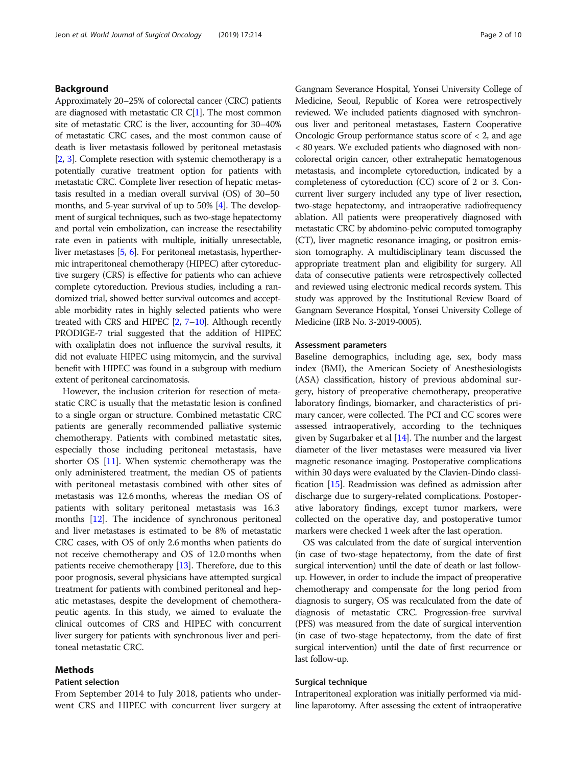# Background

Approximately 20–25% of colorectal cancer (CRC) patients are diagnosed with metastatic CR C[\[1\]](#page-8-0). The most common site of metastatic CRC is the liver, accounting for 30–40% of metastatic CRC cases, and the most common cause of death is liver metastasis followed by peritoneal metastasis [[2](#page-8-0), [3](#page-8-0)]. Complete resection with systemic chemotherapy is a potentially curative treatment option for patients with metastatic CRC. Complete liver resection of hepatic metastasis resulted in a median overall survival (OS) of 30–50 months, and 5-year survival of up to 50% [[4](#page-8-0)]. The development of surgical techniques, such as two-stage hepatectomy and portal vein embolization, can increase the resectability rate even in patients with multiple, initially unresectable, liver metastases [\[5,](#page-8-0) [6](#page-8-0)]. For peritoneal metastasis, hyperthermic intraperitoneal chemotherapy (HIPEC) after cytoreductive surgery (CRS) is effective for patients who can achieve complete cytoreduction. Previous studies, including a randomized trial, showed better survival outcomes and acceptable morbidity rates in highly selected patients who were treated with CRS and HIPEC [[2](#page-8-0), [7](#page-8-0)–[10\]](#page-8-0). Although recently PRODIGE-7 trial suggested that the addition of HIPEC with oxaliplatin does not influence the survival results, it did not evaluate HIPEC using mitomycin, and the survival benefit with HIPEC was found in a subgroup with medium extent of peritoneal carcinomatosis.

However, the inclusion criterion for resection of metastatic CRC is usually that the metastatic lesion is confined to a single organ or structure. Combined metastatic CRC patients are generally recommended palliative systemic chemotherapy. Patients with combined metastatic sites, especially those including peritoneal metastasis, have shorter OS [\[11\]](#page-8-0). When systemic chemotherapy was the only administered treatment, the median OS of patients with peritoneal metastasis combined with other sites of metastasis was 12.6 months, whereas the median OS of patients with solitary peritoneal metastasis was 16.3 months [[12](#page-8-0)]. The incidence of synchronous peritoneal and liver metastases is estimated to be 8% of metastatic CRC cases, with OS of only 2.6 months when patients do not receive chemotherapy and OS of 12.0 months when patients receive chemotherapy [[13](#page-8-0)]. Therefore, due to this poor prognosis, several physicians have attempted surgical treatment for patients with combined peritoneal and hepatic metastases, despite the development of chemotherapeutic agents. In this study, we aimed to evaluate the clinical outcomes of CRS and HIPEC with concurrent liver surgery for patients with synchronous liver and peritoneal metastatic CRC.

# Methods

# Patient selection

From September 2014 to July 2018, patients who underwent CRS and HIPEC with concurrent liver surgery at

Gangnam Severance Hospital, Yonsei University College of Medicine, Seoul, Republic of Korea were retrospectively reviewed. We included patients diagnosed with synchronous liver and peritoneal metastases, Eastern Cooperative Oncologic Group performance status score of < 2, and age < 80 years. We excluded patients who diagnosed with noncolorectal origin cancer, other extrahepatic hematogenous metastasis, and incomplete cytoreduction, indicated by a completeness of cytoreduction (CC) score of 2 or 3. Concurrent liver surgery included any type of liver resection, two-stage hepatectomy, and intraoperative radiofrequency ablation. All patients were preoperatively diagnosed with metastatic CRC by abdomino-pelvic computed tomography (CT), liver magnetic resonance imaging, or positron emission tomography. A multidisciplinary team discussed the appropriate treatment plan and eligibility for surgery. All data of consecutive patients were retrospectively collected and reviewed using electronic medical records system. This study was approved by the Institutional Review Board of Gangnam Severance Hospital, Yonsei University College of Medicine (IRB No. 3-2019-0005).

### Assessment parameters

Baseline demographics, including age, sex, body mass index (BMI), the American Society of Anesthesiologists (ASA) classification, history of previous abdominal surgery, history of preoperative chemotherapy, preoperative laboratory findings, biomarker, and characteristics of primary cancer, were collected. The PCI and CC scores were assessed intraoperatively, according to the techniques given by Sugarbaker et al  $[14]$  $[14]$ . The number and the largest diameter of the liver metastases were measured via liver magnetic resonance imaging. Postoperative complications within 30 days were evaluated by the Clavien-Dindo classification [\[15\]](#page-8-0). Readmission was defined as admission after discharge due to surgery-related complications. Postoperative laboratory findings, except tumor markers, were collected on the operative day, and postoperative tumor markers were checked 1 week after the last operation.

OS was calculated from the date of surgical intervention (in case of two-stage hepatectomy, from the date of first surgical intervention) until the date of death or last followup. However, in order to include the impact of preoperative chemotherapy and compensate for the long period from diagnosis to surgery, OS was recalculated from the date of diagnosis of metastatic CRC. Progression-free survival (PFS) was measured from the date of surgical intervention (in case of two-stage hepatectomy, from the date of first surgical intervention) until the date of first recurrence or last follow-up.

# Surgical technique

Intraperitoneal exploration was initially performed via midline laparotomy. After assessing the extent of intraoperative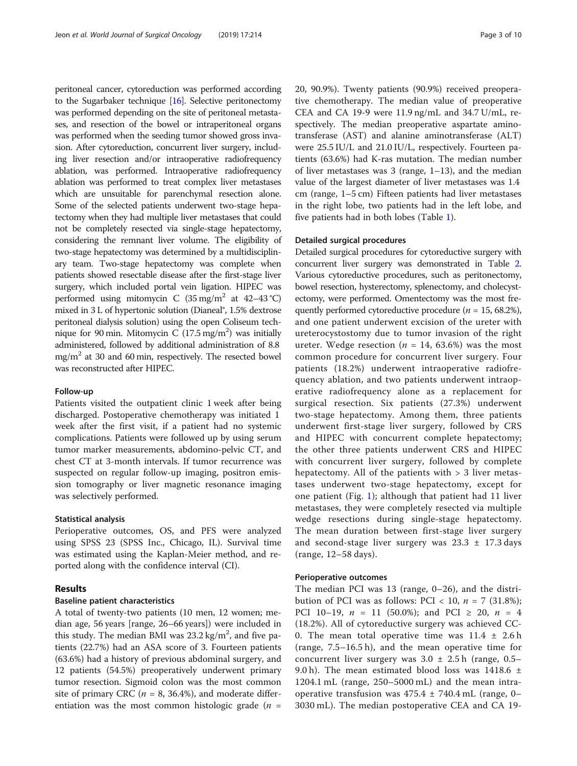peritoneal cancer, cytoreduction was performed according to the Sugarbaker technique [[16](#page-8-0)]. Selective peritonectomy was performed depending on the site of peritoneal metastases, and resection of the bowel or intraperitoneal organs was performed when the seeding tumor showed gross invasion. After cytoreduction, concurrent liver surgery, including liver resection and/or intraoperative radiofrequency ablation, was performed. Intraoperative radiofrequency ablation was performed to treat complex liver metastases which are unsuitable for parenchymal resection alone. Some of the selected patients underwent two-stage hepatectomy when they had multiple liver metastases that could not be completely resected via single-stage hepatectomy, considering the remnant liver volume. The eligibility of two-stage hepatectomy was determined by a multidisciplinary team. Two-stage hepatectomy was complete when patients showed resectable disease after the first-stage liver surgery, which included portal vein ligation. HIPEC was performed using mitomycin C  $(35 \text{ mg/m}^2 \text{ at } 42-43 \text{ °C})$ mixed in 3 L of hypertonic solution (Dianeal®, 1.5% dextrose peritoneal dialysis solution) using the open Coliseum technique for 90 min. Mitomycin C  $(17.5 \text{ mg/m}^2)$  was initially administered, followed by additional administration of 8.8  $mg/m<sup>2</sup>$  at 30 and 60 min, respectively. The resected bowel was reconstructed after HIPEC.

# Follow-up

Patients visited the outpatient clinic 1 week after being discharged. Postoperative chemotherapy was initiated 1 week after the first visit, if a patient had no systemic complications. Patients were followed up by using serum tumor marker measurements, abdomino-pelvic CT, and chest CT at 3-month intervals. If tumor recurrence was suspected on regular follow-up imaging, positron emission tomography or liver magnetic resonance imaging was selectively performed.

# Statistical analysis

Perioperative outcomes, OS, and PFS were analyzed using SPSS 23 (SPSS Inc., Chicago, IL). Survival time was estimated using the Kaplan-Meier method, and reported along with the confidence interval (CI).

# Results

# Baseline patient characteristics

A total of twenty-two patients (10 men, 12 women; median age, 56 years [range, 26–66 years]) were included in this study. The median BMI was  $23.2 \text{ kg/m}^2$ , and five patients (22.7%) had an ASA score of 3. Fourteen patients (63.6%) had a history of previous abdominal surgery, and 12 patients (54.5%) preoperatively underwent primary tumor resection. Sigmoid colon was the most common site of primary CRC ( $n = 8$ , 36.4%), and moderate differentiation was the most common histologic grade  $(n =$  20, 90.9%). Twenty patients (90.9%) received preoperative chemotherapy. The median value of preoperative CEA and CA 19-9 were 11.9 ng/mL and 34.7 U/mL, respectively. The median preoperative aspartate aminotransferase (AST) and alanine aminotransferase (ALT) were 25.5 IU/L and 21.0 IU/L, respectively. Fourteen patients (63.6%) had K-ras mutation. The median number of liver metastases was 3 (range, 1–13), and the median value of the largest diameter of liver metastases was 1.4 cm (range, 1–5 cm) Fifteen patients had liver metastases in the right lobe, two patients had in the left lobe, and five patients had in both lobes (Table [1](#page-3-0)).

# Detailed surgical procedures

Detailed surgical procedures for cytoreductive surgery with concurrent liver surgery was demonstrated in Table [2](#page-3-0). Various cytoreductive procedures, such as peritonectomy, bowel resection, hysterectomy, splenectomy, and cholecystectomy, were performed. Omentectomy was the most frequently performed cytoreductive procedure ( $n = 15, 68.2\%$ ), and one patient underwent excision of the ureter with ureterocystostomy due to tumor invasion of the right ureter. Wedge resection ( $n = 14, 63.6\%$ ) was the most common procedure for concurrent liver surgery. Four patients (18.2%) underwent intraoperative radiofrequency ablation, and two patients underwent intraoperative radiofrequency alone as a replacement for surgical resection. Six patients (27.3%) underwent two-stage hepatectomy. Among them, three patients underwent first-stage liver surgery, followed by CRS and HIPEC with concurrent complete hepatectomy; the other three patients underwent CRS and HIPEC with concurrent liver surgery, followed by complete hepatectomy. All of the patients with > 3 liver metastases underwent two-stage hepatectomy, except for one patient (Fig. [1](#page-4-0)); although that patient had 11 liver metastases, they were completely resected via multiple wedge resections during single-stage hepatectomy. The mean duration between first-stage liver surgery and second-stage liver surgery was  $23.3 \pm 17.3$  days (range, 12–58 days).

# Perioperative outcomes

The median PCI was 13 (range, 0–26), and the distribution of PCI was as follows: PCI < 10,  $n = 7$  (31.8%); PCI 10–19,  $n = 11$  (50.0%); and PCI  $\geq 20$ ,  $n = 4$ (18.2%). All of cytoreductive surgery was achieved CC-0. The mean total operative time was  $11.4 \pm 2.6$  h (range, 7.5–16.5 h), and the mean operative time for concurrent liver surgery was  $3.0 \pm 2.5$  h (range, 0.5– 9.0 h). The mean estimated blood loss was 1418.6  $\pm$ 1204.1 mL (range, 250–5000 mL) and the mean intraoperative transfusion was  $475.4 \pm 740.4 \text{ mL}$  (range, 0– 3030 mL). The median postoperative CEA and CA 19-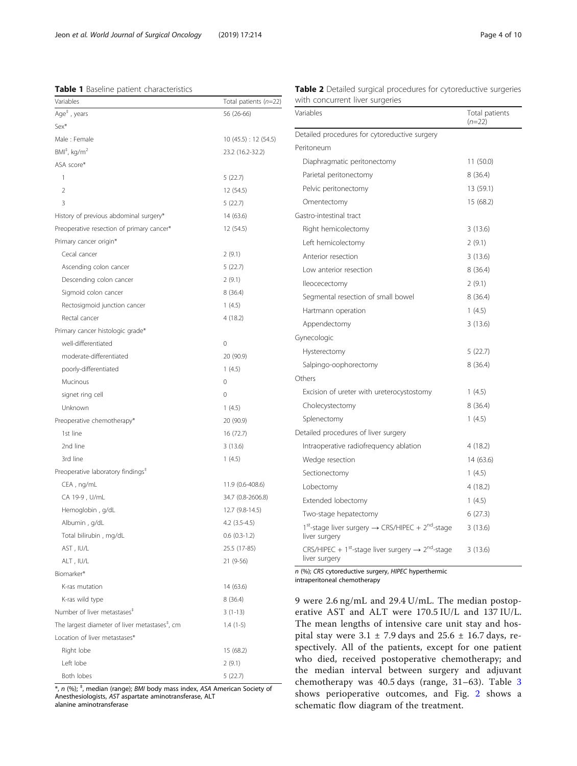# <span id="page-3-0"></span>Table 1 Baseline patient characteristics

|                                 |  |  | Table 2 Detailed surgical procedures for cytoreductive surgeries |  |
|---------------------------------|--|--|------------------------------------------------------------------|--|
| with concurrent liver surgeries |  |  |                                                                  |  |

| Variables                                                                                           | Total patients (n=22) |
|-----------------------------------------------------------------------------------------------------|-----------------------|
| Age <sup>#</sup> , years                                                                            | 56 (26-66)            |
| Sex*                                                                                                |                       |
| Male: Female                                                                                        | 10 (45.5) : 12 (54.5) |
| $BMI^{\dagger}$ , kg/m <sup>2</sup>                                                                 | 23.2 (16.2-32.2)      |
| ASA score*                                                                                          |                       |
| 1                                                                                                   | 5(22.7)               |
| $\overline{2}$                                                                                      | 12 (54.5)             |
| 3                                                                                                   | 5(22.7)               |
| History of previous abdominal surgery*                                                              | 14 (63.6)             |
| Preoperative resection of primary cancer*                                                           | 12 (54.5)             |
| Primary cancer origin*                                                                              |                       |
| Cecal cancer                                                                                        | 2(9.1)                |
| Ascending colon cancer                                                                              | 5(22.7)               |
| Descending colon cancer                                                                             | 2(9.1)                |
| Sigmoid colon cancer                                                                                | 8(36.4)               |
| Rectosigmoid junction cancer                                                                        | 1(4.5)                |
| Rectal cancer                                                                                       | 4(18.2)               |
| Primary cancer histologic grade*                                                                    |                       |
| well-differentiated                                                                                 | 0                     |
| moderate-differentiated                                                                             | 20 (90.9)             |
| poorly-differentiated                                                                               | 1(4.5)                |
| Mucinous                                                                                            | 0                     |
| signet ring cell                                                                                    | 0                     |
| Unknown                                                                                             | 1(4.5)                |
| Preoperative chemotherapy*                                                                          | 20 (90.9)             |
| 1st line                                                                                            | 16 (72.7)             |
| 2nd line                                                                                            | 3(13.6)               |
| 3rd line                                                                                            | 1(4.5)                |
| Preoperative laboratory findings <sup>#</sup>                                                       |                       |
| CEA, ng/mL                                                                                          | 11.9 (0.6-408.6)      |
| CA 19-9 , U/mL                                                                                      | 34.7 (0.8-2606.8)     |
| Hemoglobin, g/dL                                                                                    | 12.7 (9.8-14.5)       |
| Albumin , g/dL                                                                                      | $4.2$ $(3.5-4.5)$     |
| Total bilirubin, mg/dL                                                                              | $0.6$ $(0.3-1.2)$     |
| AST, IU/L                                                                                           | 25.5 (17-85)          |
| ALT, IU/L                                                                                           | 21 (9-56)             |
| Biomarker*                                                                                          |                       |
| K-ras mutation                                                                                      | 14 (63.6)             |
| K-ras wild type                                                                                     | 8(36.4)               |
| Number of liver metastases <sup>#</sup>                                                             | $3(1-13)$             |
| The largest diameter of liver metastases <sup>#</sup> , cm                                          | $1.4(1-5)$            |
| Location of liver metastases*                                                                       |                       |
| Right lobe                                                                                          | 15 (68.2)             |
| Left lobe                                                                                           | 2(9.1)                |
| Both lobes<br>*, n (%); <sup>+</sup> , median (range); BMI body mass index, ASA American Society of | 5 (22.7)              |

Anesthesiologists, AST aspartate aminotransferase, ALT alanine aminotransferase

| Variables                                                                                              | Total patients<br>$(n=22)$ |
|--------------------------------------------------------------------------------------------------------|----------------------------|
| Detailed procedures for cytoreductive surgery                                                          |                            |
| Peritoneum                                                                                             |                            |
| Diaphragmatic peritonectomy                                                                            | 11 (50.0)                  |
| Parietal peritonectomy                                                                                 | 8(36.4)                    |
| Pelvic peritonectomy                                                                                   | 13 (59.1)                  |
| Omentectomy                                                                                            | 15 (68.2)                  |
| Gastro-intestinal tract                                                                                |                            |
| Right hemicolectomy                                                                                    | 3(13.6)                    |
| Left hemicolectomy                                                                                     | 2(9.1)                     |
| Anterior resection                                                                                     | 3(13.6)                    |
| Low anterior resection                                                                                 | 8(36.4)                    |
| lleocecectomy                                                                                          | 2(9.1)                     |
| Segmental resection of small bowel                                                                     | 8(36.4)                    |
| Hartmann operation                                                                                     | 1(4.5)                     |
| Appendectomy                                                                                           | 3(13.6)                    |
| Gynecologic                                                                                            |                            |
| Hysterectomy                                                                                           | 5(22.7)                    |
| Salpingo-oophorectomy                                                                                  | 8(36.4)                    |
| Others                                                                                                 |                            |
| Excision of ureter with ureterocystostomy                                                              | 1(4.5)                     |
| Cholecystectomy                                                                                        | 8(36.4)                    |
| Splenectomy                                                                                            | 1(4.5)                     |
| Detailed procedures of liver surgery                                                                   |                            |
| Intraoperative radiofrequency ablation                                                                 | 4(18.2)                    |
| Wedge resection                                                                                        | 14 (63.6)                  |
| Sectionectomy                                                                                          | 1(4.5)                     |
| Lobectomy                                                                                              | 4(18.2)                    |
| Extended lobectomy                                                                                     | 1(4.5)                     |
| Two-stage hepatectomy                                                                                  | 6(27.3)                    |
| 1 <sup>st</sup> -stage liver surgery → CRS/HIPEC + 2 <sup>nd</sup> -stage<br>liver surgery             | 3(13.6)                    |
| CRS/HIPEC + 1 <sup>st</sup> -stage liver surgery $\rightarrow$ 2 <sup>nd</sup> -stage<br>liver surgery | 3(13.6)                    |

n (%); CRS cytoreductive surgery, HIPEC hyperthermic intraperitoneal chemotherapy

9 were 2.6 ng/mL and 29.4 U/mL. The median postoperative AST and ALT were 170.5 IU/L and 137 IU/L. The mean lengths of intensive care unit stay and hospital stay were  $3.1 \pm 7.9$  days and  $25.6 \pm 16.7$  days, respectively. All of the patients, except for one patient who died, received postoperative chemotherapy; and the median interval between surgery and adjuvant chemotherapy was 40.5 days (range, 31–63). Table [3](#page-5-0) shows perioperative outcomes, and Fig. [2](#page-6-0) shows a schematic flow diagram of the treatment.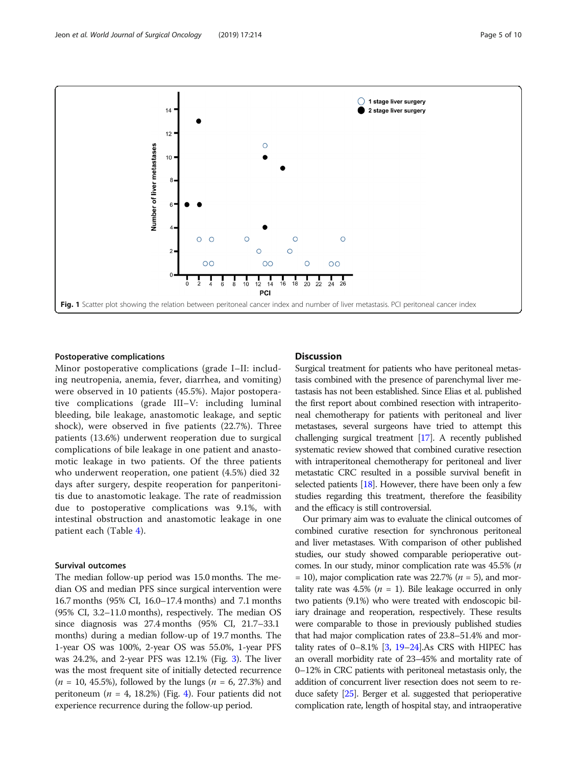<span id="page-4-0"></span>

#### Postoperative complications

Minor postoperative complications (grade I–II: including neutropenia, anemia, fever, diarrhea, and vomiting) were observed in 10 patients (45.5%). Major postoperative complications (grade III–V: including luminal bleeding, bile leakage, anastomotic leakage, and septic shock), were observed in five patients (22.7%). Three patients (13.6%) underwent reoperation due to surgical complications of bile leakage in one patient and anastomotic leakage in two patients. Of the three patients who underwent reoperation, one patient (4.5%) died 32 days after surgery, despite reoperation for panperitonitis due to anastomotic leakage. The rate of readmission due to postoperative complications was 9.1%, with intestinal obstruction and anastomotic leakage in one patient each (Table [4](#page-6-0)).

# Survival outcomes

The median follow-up period was 15.0 months. The median OS and median PFS since surgical intervention were 16.7 months (95% CI, 16.0–17.4 months) and 7.1 months (95% CI, 3.2–11.0 months), respectively. The median OS since diagnosis was 27.4 months (95% CI, 21.7–33.1 months) during a median follow-up of 19.7 months. The 1-year OS was 100%, 2-year OS was 55.0%, 1-year PFS was 24.2%, and 2-year PFS was 12.1% (Fig. [3](#page-7-0)). The liver was the most frequent site of initially detected recurrence  $(n = 10, 45.5\%)$ , followed by the lungs  $(n = 6, 27.3\%)$  and peritoneum ( $n = 4$  $n = 4$ , 18.2%) (Fig. 4). Four patients did not experience recurrence during the follow-up period.

# **Discussion**

Surgical treatment for patients who have peritoneal metastasis combined with the presence of parenchymal liver metastasis has not been established. Since Elias et al. published the first report about combined resection with intraperitoneal chemotherapy for patients with peritoneal and liver metastases, several surgeons have tried to attempt this challenging surgical treatment [\[17\]](#page-8-0). A recently published systematic review showed that combined curative resection with intraperitoneal chemotherapy for peritoneal and liver metastatic CRC resulted in a possible survival benefit in selected patients  $[18]$  $[18]$ . However, there have been only a few studies regarding this treatment, therefore the feasibility and the efficacy is still controversial.

Our primary aim was to evaluate the clinical outcomes of combined curative resection for synchronous peritoneal and liver metastases. With comparison of other published studies, our study showed comparable perioperative outcomes. In our study, minor complication rate was 45.5% (n  $= 10$ ), major complication rate was 22.7% ( $n = 5$ ), and mortality rate was 4.5% ( $n = 1$ ). Bile leakage occurred in only two patients (9.1%) who were treated with endoscopic biliary drainage and reoperation, respectively. These results were comparable to those in previously published studies that had major complication rates of 23.8–51.4% and mortality rates of  $0-8.1\%$  [\[3,](#page-8-0)  $19-24$  $19-24$ ]. As CRS with HIPEC has an overall morbidity rate of 23–45% and mortality rate of 0–12% in CRC patients with peritoneal metastasis only, the addition of concurrent liver resection does not seem to reduce safety [\[25](#page-9-0)]. Berger et al. suggested that perioperative complication rate, length of hospital stay, and intraoperative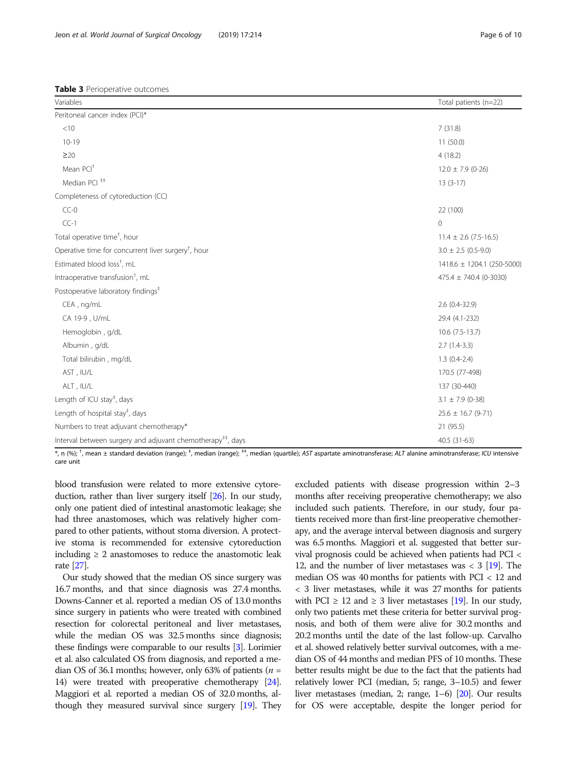<span id="page-5-0"></span>Table 3 Perioperative outcomes

| Variables                                                               | Total patients (n=22)      |
|-------------------------------------------------------------------------|----------------------------|
| Peritoneal cancer index (PCI)*                                          |                            |
| $<$ 10                                                                  | 7(31.8)                    |
| $10 - 19$                                                               | 11(50.0)                   |
| $\geq$ 20                                                               | 4(18.2)                    |
| Mean PCI <sup>+</sup>                                                   | $12.0 \pm 7.9$ (0-26)      |
| Median PCI <sup>#</sup>                                                 | $13(3-17)$                 |
| Completeness of cytoreduction (CC)                                      |                            |
| $CC-0$                                                                  | 22 (100)                   |
| $CC-1$                                                                  | $\mathbf 0$                |
| Total operative time <sup>†</sup> , hour                                | $11.4 \pm 2.6$ (7.5-16.5)  |
| Operative time for concurrent liver surgery <sup>†</sup> , hour         | $3.0 \pm 2.5$ (0.5-9.0)    |
| Estimated blood loss <sup>t</sup> , mL                                  | 1418.6 ± 1204.1 (250-5000) |
| Intraoperative transfusion <sup>†</sup> , mL                            | 475.4 ± 740.4 (0-3030)     |
| Postoperative laboratory findings <sup>#</sup>                          |                            |
| CEA, ng/mL                                                              | $2.6(0.4-32.9)$            |
| CA 19-9, U/mL                                                           | 29.4 (4.1-232)             |
| Hemoglobin, g/dL                                                        | $10.6$ (7.5-13.7)          |
| Albumin, g/dL                                                           | $2.7(1.4-3.3)$             |
| Total bilirubin, mg/dL                                                  | $1.3(0.4-2.4)$             |
| AST, IU/L                                                               | 170.5 (77-498)             |
| ALT, IU/L                                                               | 137 (30-440)               |
| Length of ICU stay <sup>‡</sup> , days                                  | $3.1 \pm 7.9$ (0-38)       |
| Length of hospital stay <sup>‡</sup> , days                             | $25.6 \pm 16.7 (9-71)$     |
| Numbers to treat adjuvant chemotherapy*                                 | 21 (95.5)                  |
| Interval between surgery and adjuvant chemotherapy <sup>##</sup> , days | $40.5(31-63)$              |

\*, n (%); <sup>†</sup>, mean ± standard deviation (range); <sup>‡</sup>, median (range); <sup>#‡</sup>, median (quartile); AST aspartate aminotransferase; ALT alanine aminotransferase; ICU intensive care unit

blood transfusion were related to more extensive cytoreduction, rather than liver surgery itself [[26\]](#page-9-0). In our study, only one patient died of intestinal anastomotic leakage; she had three anastomoses, which was relatively higher compared to other patients, without stoma diversion. A protective stoma is recommended for extensive cytoreduction including  $\geq 2$  anastomoses to reduce the anastomotic leak rate [\[27\]](#page-9-0).

Our study showed that the median OS since surgery was 16.7 months, and that since diagnosis was 27.4 months. Downs-Canner et al. reported a median OS of 13.0 months since surgery in patients who were treated with combined resection for colorectal peritoneal and liver metastases, while the median OS was 32.5 months since diagnosis; these findings were comparable to our results [\[3](#page-8-0)]. Lorimier et al. also calculated OS from diagnosis, and reported a median OS of 36.1 months; however, only 63% of patients ( $n =$ 14) were treated with preoperative chemotherapy [\[24](#page-8-0)]. Maggiori et al. reported a median OS of 32.0 months, although they measured survival since surgery [\[19](#page-8-0)]. They

excluded patients with disease progression within 2–3 months after receiving preoperative chemotherapy; we also included such patients. Therefore, in our study, four patients received more than first-line preoperative chemotherapy, and the average interval between diagnosis and surgery was 6.5 months. Maggiori et al. suggested that better survival prognosis could be achieved when patients had PCI < 12, and the number of liver metastases was  $<$  3 [[19\]](#page-8-0). The median OS was 40 months for patients with PCI < 12 and < 3 liver metastases, while it was 27 months for patients with PCI  $\geq$  12 and  $\geq$  3 liver metastases [[19](#page-8-0)]. In our study, only two patients met these criteria for better survival prognosis, and both of them were alive for 30.2 months and 20.2 months until the date of the last follow-up. Carvalho et al. showed relatively better survival outcomes, with a median OS of 44 months and median PFS of 10 months. These better results might be due to the fact that the patients had relatively lower PCI (median, 5; range, 3–10.5) and fewer liver metastases (median, 2; range, 1–6) [\[20](#page-8-0)]. Our results for OS were acceptable, despite the longer period for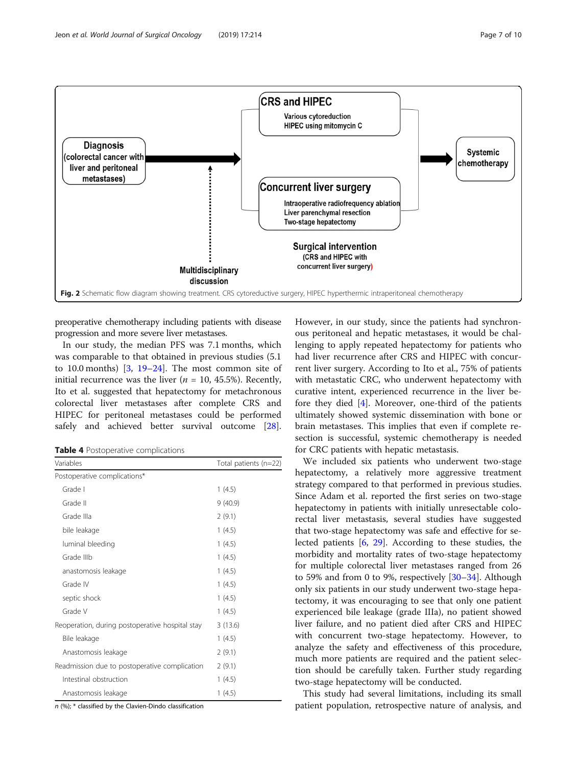<span id="page-6-0"></span>

preoperative chemotherapy including patients with disease progression and more severe liver metastases.

In our study, the median PFS was 7.1 months, which was comparable to that obtained in previous studies (5.1 to 10.0 months)  $\left[3, 19-24\right]$  $\left[3, 19-24\right]$  $\left[3, 19-24\right]$  $\left[3, 19-24\right]$  $\left[3, 19-24\right]$ . The most common site of initial recurrence was the liver ( $n = 10, 45.5\%$ ). Recently, Ito et al. suggested that hepatectomy for metachronous colorectal liver metastases after complete CRS and HIPEC for peritoneal metastases could be performed safely and achieved better survival outcome [\[28](#page-9-0)].

| Table 4 Postoperative complications |  |
|-------------------------------------|--|
|-------------------------------------|--|

| Variables                                       | Total patients (n=22) |  |
|-------------------------------------------------|-----------------------|--|
| Postoperative complications*                    |                       |  |
| Grade I                                         | 1(4.5)                |  |
| Grade II                                        | 9(40.9)               |  |
| Grade IIIa                                      | 2(9.1)                |  |
| bile leakage                                    | 1(4.5)                |  |
| luminal bleeding                                | 1(4.5)                |  |
| Grade IIIb                                      | 1(4.5)                |  |
| anastomosis leakage                             | 1(4.5)                |  |
| Grade IV                                        | 1(4.5)                |  |
| septic shock                                    | 1(4.5)                |  |
| Grade V                                         | 1(4.5)                |  |
| Reoperation, during postoperative hospital stay | 3(13.6)               |  |
| Bile leakage                                    | 1(4.5)                |  |
| Anastomosis leakage                             | 2(9.1)                |  |
| Readmission due to postoperative complication   | 2(9.1)                |  |
| Intestinal obstruction                          | 1(4.5)                |  |
| Anastomosis leakage                             | 1(4.5)                |  |

n (%); \* classified by the Clavien-Dindo classification

However, in our study, since the patients had synchronous peritoneal and hepatic metastases, it would be challenging to apply repeated hepatectomy for patients who had liver recurrence after CRS and HIPEC with concurrent liver surgery. According to Ito et al., 75% of patients with metastatic CRC, who underwent hepatectomy with curative intent, experienced recurrence in the liver before they died [\[4](#page-8-0)]. Moreover, one-third of the patients ultimately showed systemic dissemination with bone or brain metastases. This implies that even if complete resection is successful, systemic chemotherapy is needed for CRC patients with hepatic metastasis.

We included six patients who underwent two-stage hepatectomy, a relatively more aggressive treatment strategy compared to that performed in previous studies. Since Adam et al. reported the first series on two-stage hepatectomy in patients with initially unresectable colorectal liver metastasis, several studies have suggested that two-stage hepatectomy was safe and effective for selected patients [\[6](#page-8-0), [29\]](#page-9-0). According to these studies, the morbidity and mortality rates of two-stage hepatectomy for multiple colorectal liver metastases ranged from 26 to 59% and from 0 to 9%, respectively [\[30](#page-9-0)–[34\]](#page-9-0). Although only six patients in our study underwent two-stage hepatectomy, it was encouraging to see that only one patient experienced bile leakage (grade IIIa), no patient showed liver failure, and no patient died after CRS and HIPEC with concurrent two-stage hepatectomy. However, to analyze the safety and effectiveness of this procedure, much more patients are required and the patient selection should be carefully taken. Further study regarding two-stage hepatectomy will be conducted.

This study had several limitations, including its small patient population, retrospective nature of analysis, and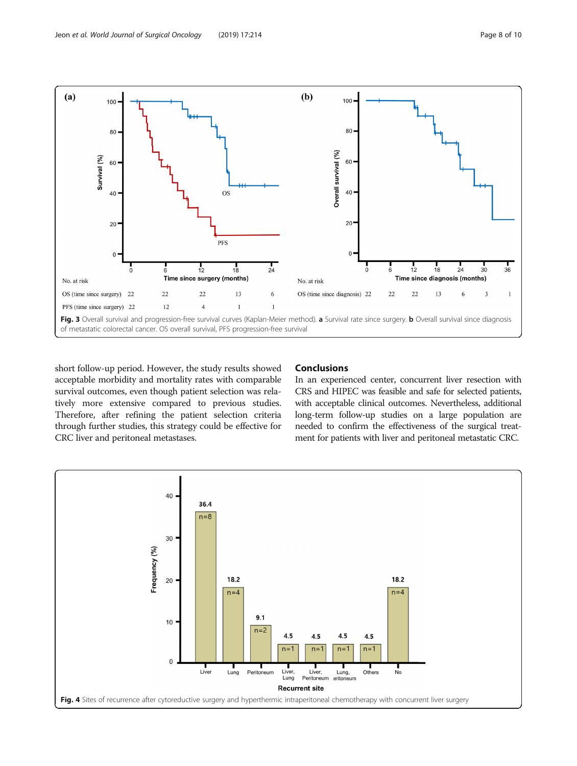<span id="page-7-0"></span>

short follow-up period. However, the study results showed acceptable morbidity and mortality rates with comparable survival outcomes, even though patient selection was relatively more extensive compared to previous studies. Therefore, after refining the patient selection criteria through further studies, this strategy could be effective for CRC liver and peritoneal metastases.

# Conclusions

In an experienced center, concurrent liver resection with CRS and HIPEC was feasible and safe for selected patients, with acceptable clinical outcomes. Nevertheless, additional long-term follow-up studies on a large population are needed to confirm the effectiveness of the surgical treatment for patients with liver and peritoneal metastatic CRC.

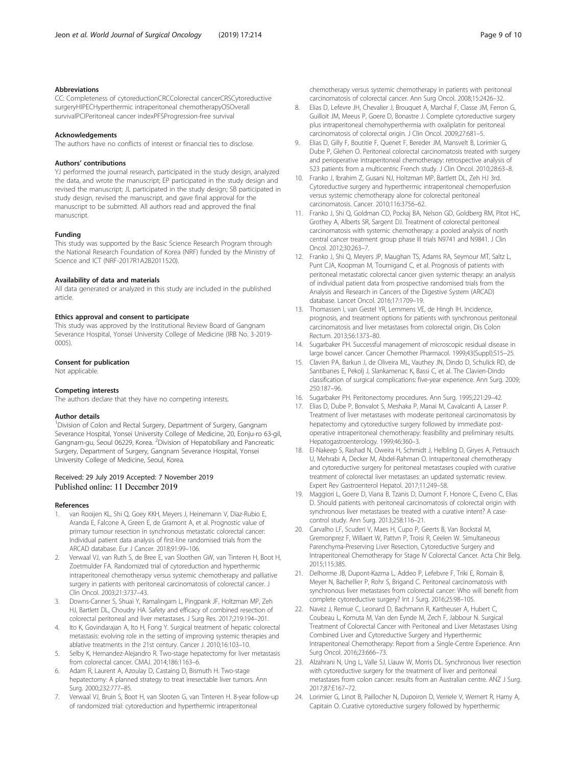# <span id="page-8-0"></span>Abbreviations

CC: Completeness of cytoreductionCRCColorectal cancerCRSCytoreductive surgeryHIPECHyperthermic intraperitoneal chemotherapyOSOverall survivalPCIPeritoneal cancer indexPFSProgression-free survival

# Acknowledgements

The authors have no conflicts of interest or financial ties to disclose.

# Authors' contributions

YJ performed the journal research, participated in the study design, analyzed the data, and wrote the manuscript; EP participated in the study design and revised the manuscript; JL participated in the study design; SB participated in study design, revised the manuscript, and gave final approval for the manuscript to be submitted. All authors read and approved the final manuscript.

#### Funding

This study was supported by the Basic Science Research Program through the National Research Foundation of Korea (NRF) funded by the Ministry of Science and ICT (NRF-2017R1A2B2011520).

#### Availability of data and materials

All data generated or analyzed in this study are included in the published article.

# Ethics approval and consent to participate

This study was approved by the Institutional Review Board of Gangnam Severance Hospital, Yonsei University College of Medicine (IRB No. 3-2019- 0005).

#### Consent for publication

Not applicable.

# Competing interests

The authors declare that they have no competing interests.

# Author details

<sup>1</sup> Division of Colon and Rectal Surgery, Department of Surgery, Gangnam Severance Hospital, Yonsei University College of Medicine, 20, Eonju-ro 63-gil, Gangnam-gu, Seoul 06229, Korea. <sup>2</sup> Division of Hepatobiliary and Pancreatic Surgery, Department of Surgery, Gangnam Severance Hospital, Yonsei University College of Medicine, Seoul, Korea.

# Received: 29 July 2019 Accepted: 7 November 2019<br>Published online: 11 December 2019

#### References

- 1. van Rooijen KL, Shi Q, Goey KKH, Meyers J, Heinemann V, Diaz-Rubio E, Aranda E, Falcone A, Green E, de Gramont A, et al. Prognostic value of primary tumour resection in synchronous metastatic colorectal cancer: Individual patient data analysis of first-line randomised trials from the ARCAD database. Eur J Cancer. 2018;91:99–106.
- 2. Verwaal VJ, van Ruth S, de Bree E, van Sloothen GW, van Tinteren H, Boot H, Zoetmulder FA. Randomized trial of cytoreduction and hyperthermic intraperitoneal chemotherapy versus systemic chemotherapy and palliative surgery in patients with peritoneal carcinomatosis of colorectal cancer. J Clin Oncol. 2003;21:3737–43.
- 3. Downs-Canner S, Shuai Y, Ramalingam L, Pingpank JF, Holtzman MP, Zeh HJ, Bartlett DL, Choudry HA. Safety and efficacy of combined resection of colorectal peritoneal and liver metastases. J Surg Res. 2017;219:194–201.
- Ito K, Govindarajan A, Ito H, Fong Y. Surgical treatment of hepatic colorectal metastasis: evolving role in the setting of improving systemic therapies and ablative treatments in the 21st century. Cancer J. 2010;16:103–10.
- 5. Selby K, Hernandez-Alejandro R. Two-stage hepatectomy for liver metastasis from colorectal cancer. CMAJ. 2014;186:1163–6.
- Adam R, Laurent A, Azoulay D, Castaing D, Bismuth H. Two-stage hepatectomy: A planned strategy to treat irresectable liver tumors. Ann Surg. 2000;232:777–85.
- 7. Verwaal VJ, Bruin S, Boot H, van Slooten G, van Tinteren H. 8-year follow-up of randomized trial: cytoreduction and hyperthermic intraperitoneal

chemotherapy versus systemic chemotherapy in patients with peritoneal carcinomatosis of colorectal cancer. Ann Surg Oncol. 2008;15:2426–32.

- 8. Elias D, Lefevre JH, Chevalier J, Brouquet A, Marchal F, Classe JM, Ferron G, Guilloit JM, Meeus P, Goere D, Bonastre J. Complete cytoreductive surgery plus intraperitoneal chemohyperthermia with oxaliplatin for peritoneal carcinomatosis of colorectal origin. J Clin Oncol. 2009;27:681–5.
- 9. Elias D, Gilly F, Boutitie F, Quenet F, Bereder JM, Mansvelt B, Lorimier G, Dube P, Glehen O. Peritoneal colorectal carcinomatosis treated with surgery and perioperative intraperitoneal chemotherapy: retrospective analysis of 523 patients from a multicentric French study. J Clin Oncol. 2010;28:63–8.
- 10. Franko J, Ibrahim Z, Gusani NJ, Holtzman MP, Bartlett DL, Zeh HJ 3rd. Cytoreductive surgery and hyperthermic intraperitoneal chemoperfusion versus systemic chemotherapy alone for colorectal peritoneal carcinomatosis. Cancer. 2010;116:3756–62.
- 11. Franko J, Shi Q, Goldman CD, Pockaj BA, Nelson GD, Goldberg RM, Pitot HC, Grothey A, Alberts SR, Sargent DJ. Treatment of colorectal peritoneal carcinomatosis with systemic chemotherapy: a pooled analysis of north central cancer treatment group phase III trials N9741 and N9841. J Clin Oncol. 2012;30:263–7.
- 12. Franko J, Shi Q, Meyers JP, Maughan TS, Adams RA, Seymour MT, Saltz L, Punt CJA, Koopman M, Tournigand C, et al. Prognosis of patients with peritoneal metastatic colorectal cancer given systemic therapy: an analysis of individual patient data from prospective randomised trials from the Analysis and Research in Cancers of the Digestive System (ARCAD) database. Lancet Oncol. 2016;17:1709–19.
- 13. Thomassen I, van Gestel YR, Lemmens VE, de Hingh IH. Incidence, prognosis, and treatment options for patients with synchronous peritoneal carcinomatosis and liver metastases from colorectal origin. Dis Colon Rectum. 2013;56:1373–80.
- 14. Sugarbaker PH. Successful management of microscopic residual disease in large bowel cancer. Cancer Chemother Pharmacol. 1999;43(Suppl):S15–25.
- 15. Clavien PA, Barkun J, de Oliveira ML, Vauthey JN, Dindo D, Schulick RD, de Santibanes E, Pekolj J, Slankamenac K, Bassi C, et al. The Clavien-Dindo classification of surgical complications: five-year experience. Ann Surg. 2009; 250:187–96.
- 16. Sugarbaker PH. Peritonectomy procedures. Ann Surg. 1995;221:29–42.
- 17. Elias D, Dube P, Bonvalot S, Meshaka P, Manai M, Cavalcanti A, Lasser P. Treatment of liver metastases with moderate peritoneal carcinomatosis by hepatectomy and cytoreductive surgery followed by immediate postoperative intraperitoneal chemotherapy: feasibility and preliminary results. Hepatogastroenterology. 1999;46:360–3.
- 18. El-Nakeep S, Rashad N, Oweira H, Schmidt J, Helbling D, Giryes A, Petrausch U, Mehrabi A, Decker M, Abdel-Rahman O. Intraperitoneal chemotherapy and cytoreductive surgery for peritoneal metastases coupled with curative treatment of colorectal liver metastases: an updated systematic review. Expert Rev Gastroenterol Hepatol. 2017;11:249–58.
- 19. Maggiori L, Goere D, Viana B, Tzanis D, Dumont F, Honore C, Eveno C, Elias D. Should patients with peritoneal carcinomatosis of colorectal origin with synchronous liver metastases be treated with a curative intent? A casecontrol study. Ann Surg. 2013;258:116–21.
- 20. Carvalho LF, Scuderi V, Maes H, Cupo P, Geerts B, Van Bockstal M, Gremonprez F, Willaert W, Pattvn P, Troisi R, Ceelen W. Simultaneous Parenchyma-Preserving Liver Resection, Cytoreductive Surgery and Intraperitoneal Chemotherapy for Stage IV Colorectal Cancer. Acta Chir Belg. 2015;115:385.
- 21. Delhorme JB, Dupont-Kazma L, Addeo P, Lefebvre F, Triki E, Romain B, Meyer N, Bachellier P, Rohr S, Brigand C. Peritoneal carcinomatosis with synchronous liver metastases from colorectal cancer: Who will benefit from complete cytoreductive surgery? Int J Surg. 2016;25:98–105.
- 22. Navez J, Remue C, Leonard D, Bachmann R, Kartheuser A, Hubert C, Coubeau L, Komuta M, Van den Eynde M, Zech F, Jabbour N. Surgical Treatment of Colorectal Cancer with Peritoneal and Liver Metastases Using Combined Liver and Cytoreductive Surgery and Hyperthermic Intraperitoneal Chemotherapy: Report from a Single-Centre Experience. Ann Surg Oncol. 2016;23:666–73.
- 23. Alzahrani N, Ung L, Valle SJ, Liauw W, Morris DL. Synchronous liver resection with cytoreductive surgery for the treatment of liver and peritoneal metastases from colon cancer: results from an Australian centre. ANZ J Surg. 2017;87:E167–72.
- 24. Lorimier G, Linot B, Paillocher N, Dupoiron D, Verriele V, Wernert R, Hamy A, Capitain O. Curative cytoreductive surgery followed by hyperthermic